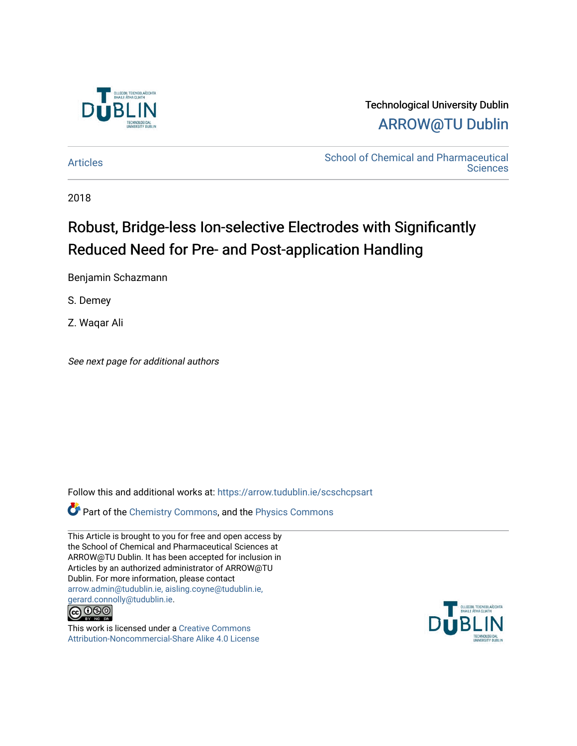

### Technological University Dublin [ARROW@TU Dublin](https://arrow.tudublin.ie/)

[Articles](https://arrow.tudublin.ie/scschcpsart) **School of Chemical and Pharmaceutical**<br> **Articles Sciences** 

2018

# Robust, Bridge-less Ion-selective Electrodes with Significantly Reduced Need for Pre- and Post-application Handling

Benjamin Schazmann

S. Demey

Z. Waqar Ali

See next page for additional authors

Follow this and additional works at: [https://arrow.tudublin.ie/scschcpsart](https://arrow.tudublin.ie/scschcpsart?utm_source=arrow.tudublin.ie%2Fscschcpsart%2F123&utm_medium=PDF&utm_campaign=PDFCoverPages) 

Part of the [Chemistry Commons,](http://network.bepress.com/hgg/discipline/131?utm_source=arrow.tudublin.ie%2Fscschcpsart%2F123&utm_medium=PDF&utm_campaign=PDFCoverPages) and the [Physics Commons](http://network.bepress.com/hgg/discipline/193?utm_source=arrow.tudublin.ie%2Fscschcpsart%2F123&utm_medium=PDF&utm_campaign=PDFCoverPages)

This Article is brought to you for free and open access by the School of Chemical and Pharmaceutical Sciences at ARROW@TU Dublin. It has been accepted for inclusion in Articles by an authorized administrator of ARROW@TU Dublin. For more information, please contact [arrow.admin@tudublin.ie, aisling.coyne@tudublin.ie,](mailto:arrow.admin@tudublin.ie,%20aisling.coyne@tudublin.ie,%20gerard.connolly@tudublin.ie)  [gerard.connolly@tudublin.ie](mailto:arrow.admin@tudublin.ie,%20aisling.coyne@tudublin.ie,%20gerard.connolly@tudublin.ie).



This work is licensed under a [Creative Commons](http://creativecommons.org/licenses/by-nc-sa/4.0/) [Attribution-Noncommercial-Share Alike 4.0 License](http://creativecommons.org/licenses/by-nc-sa/4.0/)

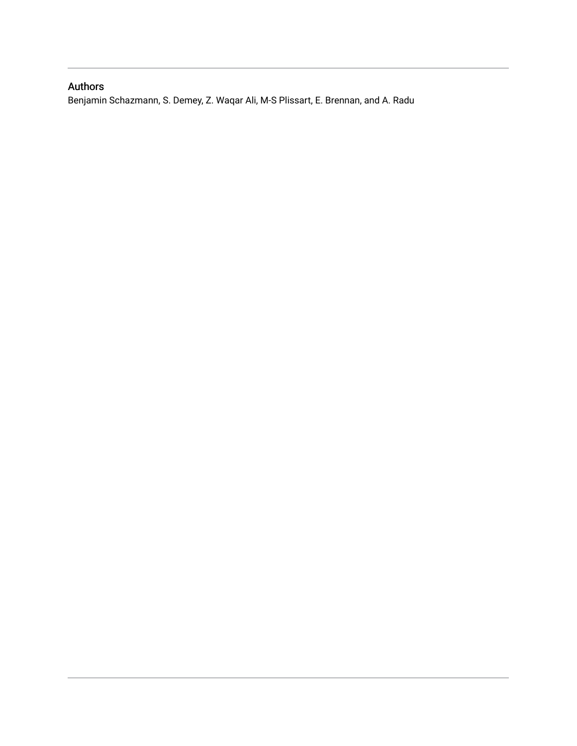### Authors

Benjamin Schazmann, S. Demey, Z. Waqar Ali, M-S Plissart, E. Brennan, and A. Radu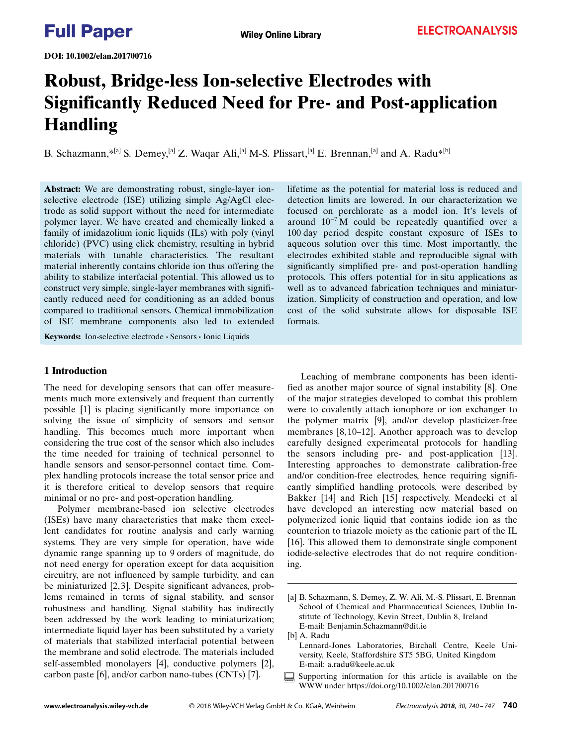DOI: 10.1002/elan.201700716

# Robust, Bridge-less Ion-selective Electrodes with Significantly Reduced Need for Pre- and Post-application Handling

B. Schazmann,\*<sup>[a]</sup> S. Demey,<sup>[a]</sup> Z. Waqar Ali,<sup>[a]</sup> M-S. Plissart,<sup>[a]</sup> E. Brennan,<sup>[a]</sup> and A. Radu<sup>\*[\[b\]](http://orcid.org/0000-0002-5141-1884)</sup>

Abstract: We are demonstrating robust, single-layer ionselective electrode (ISE) utilizing simple Ag/AgCl electrode as solid support without the need for intermediate polymer layer. We have created and chemically linked a family of imidazolium ionic liquids (ILs) with poly (vinyl chloride) (PVC) using click chemistry, resulting in hybrid materials with tunable characteristics. The resultant material inherently contains chloride ion thus offering the ability to stabilize interfacial potential. This allowed us to construct very simple, single-layer membranes with significantly reduced need for conditioning as an added bonus compared to traditional sensors. Chemical immobilization of ISE membrane components also led to extended lifetime as the potential for material loss is reduced and detection limits are lowered. In our characterization we focused on perchlorate as a model ion. It's levels of around  $10^{-7}$  M could be repeatedly quantified over a 100 day period despite constant exposure of ISEs to aqueous solution over this time. Most importantly, the electrodes exhibited stable and reproducible signal with significantly simplified pre- and post-operation handling protocols. This offers potential for in situ applications as well as to advanced fabrication techniques and miniaturization. Simplicity of construction and operation, and low cost of the solid substrate allows for disposable ISE formats.

Keywords: Ion-selective electrode · Sensors · Ionic Liquids

#### 1 Introduction

The need for developing sensors that can offer measurements much more extensively and frequent than currently possible [1] is placing significantly more importance on solving the issue of simplicity of sensors and sensor handling. This becomes much more important when considering the true cost of the sensor which also includes the time needed for training of technical personnel to handle sensors and sensor-personnel contact time. Complex handling protocols increase the total sensor price and it is therefore critical to develop sensors that require minimal or no pre- and post-operation handling.

Polymer membrane-based ion selective electrodes (ISEs) have many characteristics that make them excellent candidates for routine analysis and early warning systems. They are very simple for operation, have wide dynamic range spanning up to 9 orders of magnitude, do not need energy for operation except for data acquisition circuitry, are not influenced by sample turbidity, and can be miniaturized [2, 3]. Despite significant advances, problems remained in terms of signal stability, and sensor robustness and handling. Signal stability has indirectly been addressed by the work leading to miniaturization; intermediate liquid layer has been substituted by a variety of materials that stabilized interfacial potential between the membrane and solid electrode. The materials included self-assembled monolayers [4], conductive polymers [2], carbon paste [6], and/or carbon nano-tubes (CNTs) [7].

Leaching of membrane components has been identified as another major source of signal instability [8]. One of the major strategies developed to combat this problem were to covalently attach ionophore or ion exchanger to the polymer matrix [9], and/or develop plasticizer-free membranes [8, 10–12]. Another approach was to develop carefully designed experimental protocols for handling the sensors including pre- and post-application [13]. Interesting approaches to demonstrate calibration-free and/or condition-free electrodes, hence requiring significantly simplified handling protocols, were described by Bakker [14] and Rich [15] respectively. Mendecki et al have developed an interesting new material based on polymerized ionic liquid that contains iodide ion as the counterion to triazole moiety as the cationic part of the IL [16]. This allowed them to demonstrate single component iodide-selective electrodes that do not require conditioning.

Supporting information for this article is available on the WWW under<https://doi.org/10.1002/elan.201700716>

<sup>[</sup>a] B. Schazmann, S. Demey, Z. W. Ali, M.-S. Plissart, E. Brennan School of Chemical and Pharmaceutical Sciences, Dublin Institute of Technology, Kevin Street, Dublin 8, Ireland E-mail: Benjamin.Schazmann@dit.ie

<sup>[</sup>b] A. Radu

Lennard-Jones Laboratories, Birchall Centre, Keele University, Keele, Staffordshire ST5 5BG, United Kingdom E-mail: a.radu@keele.ac.uk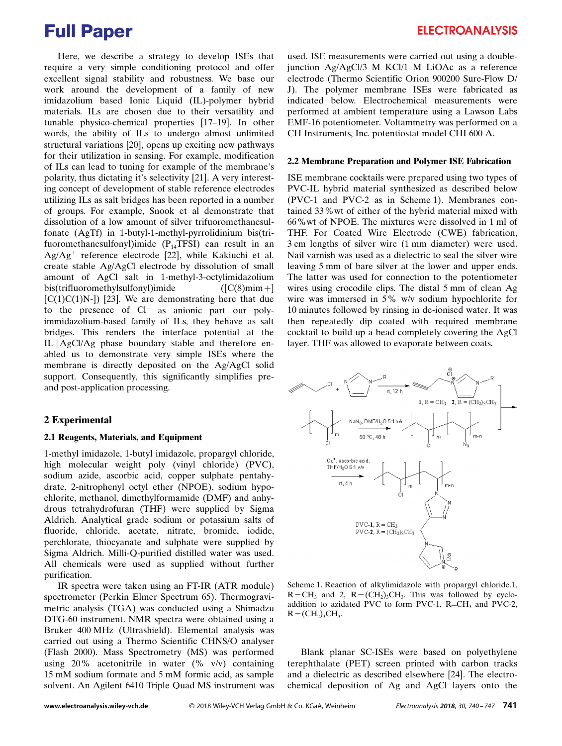Here, we describe a strategy to develop ISEs that require a very simple conditioning protocol and offer excellent signal stability and robustness. We base our work around the development of a family of new imidazolium based Ionic Liquid (IL)-polymer hybrid materials. ILs are chosen due to their versatility and tunable physico-chemical properties [17–19]. In other words, the ability of ILs to undergo almost unlimited structural variations [20], opens up exciting new pathways for their utilization in sensing. For example, modification of ILs can lead to tuning for example of the membrane's polarity, thus dictating it's selectivity [21]. A very interesting concept of development of stable reference electrodes utilizing ILs as salt bridges has been reported in a number of groups. For example, Snook et al demonstrate that dissolution of a low amount of silver trifuoromethanesulfonate (AgTf) in 1-butyl-1-methyl-pyrrolidinium bis(trifuoromethanesulfonyl)imide  $(P_{14}TFSI)$  can result in an  $Ag/Ag^+$  reference electrode [22], while Kakiuchi et al. create stable Ag/AgCl electrode by dissolution of small amount of AgCl salt in 1-methyl-3-octylimidazolium bis(trifluoromethylsulfonyl)imide  $([C(8)min+]$  $[C(1)C(1)N-]$  [23]. We are demonstrating here that due to the presence of Cl<sup>-</sup> as anionic part our polyimmidazolium-based family of ILs, they behave as salt bridges. This renders the interface potential at the IL jAgCl/Ag phase boundary stable and therefore enabled us to demonstrate very simple ISEs where the membrane is directly deposited on the Ag/AgCl solid support. Consequently, this significantly simplifies preand post-application processing.

#### 2 Experimental

#### 2.1 Reagents, Materials, and Equipment

1-methyl imidazole, 1-butyl imidazole, propargyl chloride, high molecular weight poly (vinyl chloride) (PVC), sodium azide, ascorbic acid, copper sulphate pentahydrate, 2-nitrophenyl octyl ether (NPOE), sodium hypochlorite, methanol, dimethylformamide (DMF) and anhydrous tetrahydrofuran (THF) were supplied by Sigma Aldrich. Analytical grade sodium or potassium salts of fluoride, chloride, acetate, nitrate, bromide, iodide, perchlorate, thiocyanate and sulphate were supplied by Sigma Aldrich. Milli-Q-purified distilled water was used. All chemicals were used as supplied without further purification.

IR spectra were taken using an FT-IR (ATR module) spectrometer (Perkin Elmer Spectrum 65). Thermogravimetric analysis (TGA) was conducted using a Shimadzu DTG-60 instrument. NMR spectra were obtained using a Bruker 400 MHz (Ultrashield). Elemental analysis was carried out using a Thermo Scientific CHNS/O analyser (Flash 2000). Mass Spectrometry (MS) was performed using  $20\%$  acetonitrile in water  $(\% \t v/v)$  containing 15 mM sodium formate and 5 mM formic acid, as sample solvent. An Agilent 6410 Triple Quad MS instrument was

used. ISE measurements were carried out using a doublejunction Ag/AgCl/3 M KCl/1 M LiOAc as a reference electrode (Thermo Scientific Orion 900200 Sure-Flow D/ J). The polymer membrane ISEs were fabricated as indicated below. Electrochemical measurements were performed at ambient temperature using a Lawson Labs EMF-16 potentiometer. Voltammetry was performed on a CH Instruments, Inc. potentiostat model CHI 600 A.

#### 2.2 Membrane Preparation and Polymer ISE Fabrication

ISE membrane cocktails were prepared using two types of PVC-IL hybrid material synthesized as described below (PVC-1 and PVC-2 as in Scheme 1). Membranes contained 33%wt of either of the hybrid material mixed with 66%wt of NPOE. The mixtures were dissolved in 1 ml of THF. For Coated Wire Electrode (CWE) fabrication, 3 cm lengths of silver wire (1 mm diameter) were used. Nail varnish was used as a dielectric to seal the silver wire leaving 5 mm of bare silver at the lower and upper ends. The latter was used for connection to the potentiometer wires using crocodile clips. The distal 5 mm of clean Ag wire was immersed in 5% w/v sodium hypochlorite for 10 minutes followed by rinsing in de-ionised water. It was then repeatedly dip coated with required membrane cocktail to build up a bead completely covering the AgCl layer. THF was allowed to evaporate between coats.



Scheme 1. Reaction of alkylimidazole with propargyl chloride.1,  $R=CH_3$  and 2,  $R=(CH_2)_3CH_3$ . This was followed by cycloaddition to azidated PVC to form PVC-1,  $R=CH_3$  and PVC-2,  $R = (CH<sub>2</sub>)<sub>3</sub>CH<sub>3</sub>$ .

Blank planar SC-ISEs were based on polyethylene terephthalate (PET) screen printed with carbon tracks and a dielectric as described elsewhere [24]. The electrochemical deposition of Ag and AgCl layers onto the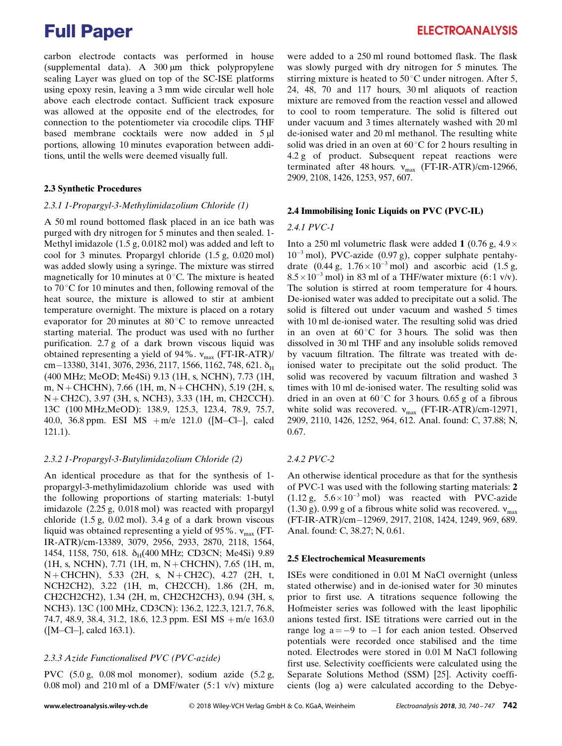carbon electrode contacts was performed in house (supplemental data). A  $300 \mu m$  thick polypropylene sealing Layer was glued on top of the SC-ISE platforms using epoxy resin, leaving a 3 mm wide circular well hole above each electrode contact. Sufficient track exposure was allowed at the opposite end of the electrodes, for connection to the potentiometer via crocodile clips. THF based membrane cocktails were now added in  $5 \mu$ l portions, allowing 10 minutes evaporation between additions, until the wells were deemed visually full.

#### 2.3 Synthetic Procedures

#### 2.3.1 1-Propargyl-3-Methylimidazolium Chloride (1)

A 50 ml round bottomed flask placed in an ice bath was purged with dry nitrogen for 5 minutes and then sealed. 1- Methyl imidazole (1.5 g, 0.0182 mol) was added and left to cool for 3 minutes. Propargyl chloride (1.5 g, 0.020 mol) was added slowly using a syringe. The mixture was stirred magnetically for 10 minutes at  $0^{\circ}$ C. The mixture is heated to  $70^{\circ}$ C for 10 minutes and then, following removal of the heat source, the mixture is allowed to stir at ambient temperature overnight. The mixture is placed on a rotary evaporator for 20 minutes at  $80^{\circ}$ C to remove unreacted starting material. The product was used with no further purification. 2.7 g of a dark brown viscous liquid was obtained representing a yield of 94%.  $v_{\text{max}}$  (FT-IR-ATR)/ em–13380, 3141, 3076, 2936, 2117, 1566, 1162, 748, 621.  $\delta_{\rm H}$ (400 MHz; MeOD; Me4Si) 9.13 (1H, s, NCHN), 7.73 (1H, m, N + CHCHN), 7.66 (1H, m, N + CHCHN), 5.19 (2H, s, N+CH2C), 3.97 (3H, s, NCH3), 3.33 (1H, m, CH2CCH). 13C (100 MHz,MeOD): 138.9, 125.3, 123.4, 78.9, 75.7, 40.0, 36.8 ppm. ESI MS +m/e 121.0 ([M-Cl-], calcd 121.1).

#### 2.3.2 1-Propargyl-3-Butylimidazolium Chloride (2)

An identical procedure as that for the synthesis of 1 propargyl-3-methylimidazolium chloride was used with the following proportions of starting materials: 1-butyl imidazole (2.25 g, 0.018 mol) was reacted with propargyl chloride (1.5 g, 0.02 mol). 3.4 g of a dark brown viscous liquid was obtained representing a yield of 95%.  $v_{\text{max}}$  (FT-IR-ATR)/cm-13389, 3079, 2956, 2933, 2870, 2118, 1564, 1454, 1158, 750, 618.  $\delta_H(400 \text{ MHz}; \text{CD3CN}; \text{ Me4Si})$  9.89 (1H, s, NCHN), 7.71 (1H, m, N+CHCHN), 7.65 (1H, m, N+CHCHN), 5.33 (2H, s, N+CH2C), 4.27 (2H, t, NCH2CH2), 3.22 (1H, m, CH2CCH), 1.86 (2H, m, CH2CH2CH2), 1.34 (2H, m, CH2CH2CH3), 0.94 (3H, s, NCH3). 13C (100 MHz, CD3CN): 136.2, 122.3, 121.7, 76.8, 74.7, 48.9, 38.4, 31.2, 18.6, 12.3 ppm. ESI MS +m/e 163.0 ([M-Cl-], calcd 163.1).

#### 2.3.3 Azide Functionalised PVC (PVC-azide)

PVC (5.0 g, 0.08 mol monomer), sodium azide (5.2 g, 0.08 mol) and 210 ml of a DMF/water  $(5:1 \text{ v/v})$  mixture were added to a 250 ml round bottomed flask. The flask was slowly purged with dry nitrogen for 5 minutes. The stirring mixture is heated to  $50^{\circ}$ C under nitrogen. After 5, 24, 48, 70 and 117 hours, 30 ml aliquots of reaction mixture are removed from the reaction vessel and allowed to cool to room temperature. The solid is filtered out under vacuum and 3 times alternately washed with 20 ml de-ionised water and 20 ml methanol. The resulting white solid was dried in an oven at  $60^{\circ}$ C for 2 hours resulting in 4.2 g of product. Subsequent repeat reactions were terminated after 48 hours.  $v_{\text{max}}$  (FT-IR-ATR)/cm-12966, 2909, 2108, 1426, 1253, 957, 607.

#### 2.4 Immobilising Ionic Liquids on PVC (PVC-IL)

#### 2.4.1 PVC-1

Into a 250 ml volumetric flask were added 1 (0.76 g,  $4.9 \times$  $10^{-3}$  mol), PVC-azide (0.97 g), copper sulphate pentahydrate (0.44 g,  $1.76 \times 10^{-3}$  mol) and ascorbic acid (1.5 g,  $8.5 \times 10^{-3}$  mol) in 83 ml of a THF/water mixture (6:1 v/v). The solution is stirred at room temperature for 4 hours. De-ionised water was added to precipitate out a solid. The solid is filtered out under vacuum and washed 5 times with 10 ml de-ionised water. The resulting solid was dried in an oven at  $60^{\circ}$ C for 3 hours. The solid was then dissolved in 30 ml THF and any insoluble solids removed by vacuum filtration. The filtrate was treated with deionised water to precipitate out the solid product. The solid was recovered by vacuum filtration and washed 3 times with 10 ml de-ionised water. The resulting solid was dried in an oven at  $60^{\circ}$ C for 3 hours. 0.65 g of a fibrous white solid was recovered.  $v_{\text{max}}$  (FT-IR-ATR)/cm-12971, 2909, 2110, 1426, 1252, 964, 612. Anal. found: C, 37.88; N, 0.67.

#### 2.4.2 PVC-2

An otherwise identical procedure as that for the synthesis of PVC-1 was used with the following starting materials: 2  $(1.12 \text{ g}, \quad 5.6 \times 10^{-3} \text{ mol})$  was reacted with PVC-azide (1.30 g). 0.99 g of a fibrous white solid was recovered.  $v_{\text{max}}$ (FT-IR-ATR)/cm-12969, 2917, 2108, 1424, 1249, 969, 689. Anal. found: C, 38.27; N, 0.61.

#### 2.5 Electrochemical Measurements

ISEs were conditioned in 0.01 M NaCl overnight (unless stated otherwise) and in de-ionised water for 30 minutes prior to first use. A titrations sequence following the Hofmeister series was followed with the least lipophilic anions tested first. ISE titrations were carried out in the range  $log a = -9$  to  $-1$  for each anion tested. Observed potentials were recorded once stabilised and the time noted. Electrodes were stored in 0.01 M NaCl following first use. Selectivity coefficients were calculated using the Separate Solutions Method (SSM) [25]. Activity coefficients (log a) were calculated according to the Debye-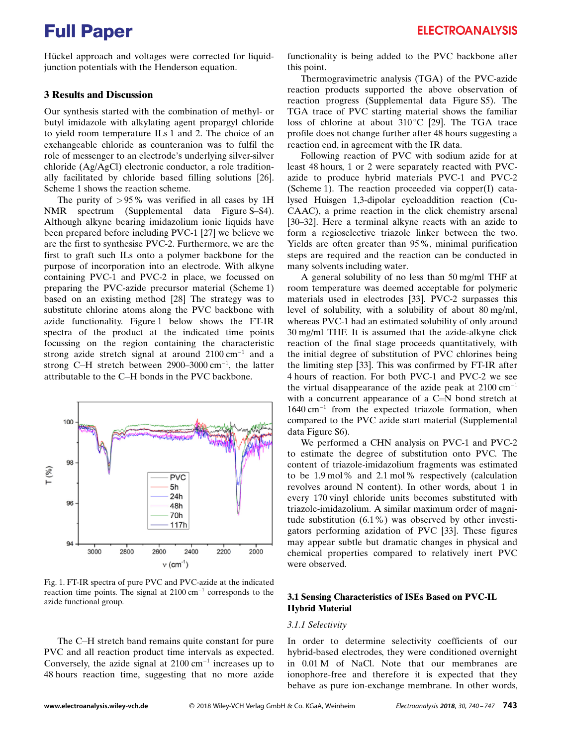Hückel approach and voltages were corrected for liquidjunction potentials with the Henderson equation.

#### 3 Results and Discussion

Our synthesis started with the combination of methyl- or butyl imidazole with alkylating agent propargyl chloride to yield room temperature ILs 1 and 2. The choice of an exchangeable chloride as counteranion was to fulfil the role of messenger to an electrode's underlying silver-silver chloride (Ag/AgCl) electronic conductor, a role traditionally facilitated by chloride based filling solutions [26]. Scheme 1 shows the reaction scheme.

The purity of  $>95\%$  was verified in all cases by 1H NMR spectrum (Supplemental data Figure S–S4). Although alkyne bearing imidazolium ionic liquids have been prepared before including PVC-1 [27] we believe we are the first to synthesise PVC-2. Furthermore, we are the first to graft such ILs onto a polymer backbone for the purpose of incorporation into an electrode. With alkyne containing PVC-1 and PVC-2 in place, we focussed on preparing the PVC-azide precursor material (Scheme 1) based on an existing method [28] The strategy was to substitute chlorine atoms along the PVC backbone with azide functionality. Figure 1 below shows the FT-IR spectra of the product at the indicated time points focussing on the region containing the characteristic strong azide stretch signal at around  $2100 \text{ cm}^{-1}$  and a strong C-H stretch between 2900–3000 cm<sup>-1</sup>, the latter attributable to the C-H bonds in the PVC backbone.



Fig. 1. FT-IR spectra of pure PVC and PVC-azide at the indicated reaction time points. The signal at  $2100 \text{ cm}^{-1}$  corresponds to the azide functional group.

The C-H stretch band remains quite constant for pure PVC and all reaction product time intervals as expected. Conversely, the azide signal at  $2100 \text{ cm}^{-1}$  increases up to 48 hours reaction time, suggesting that no more azide functionality is being added to the PVC backbone after this point.

Thermogravimetric analysis (TGA) of the PVC-azide reaction products supported the above observation of reaction progress (Supplemental data Figure S5). The TGA trace of PVC starting material shows the familiar loss of chlorine at about  $310^{\circ}$ C [29]. The TGA trace profile does not change further after 48 hours suggesting a reaction end, in agreement with the IR data.

Following reaction of PVC with sodium azide for at least 48 hours, 1 or 2 were separately reacted with PVCazide to produce hybrid materials PVC-1 and PVC-2 (Scheme 1). The reaction proceeded via copper(I) catalysed Huisgen 1,3-dipolar cycloaddition reaction (Cu-CAAC), a prime reaction in the click chemistry arsenal [30–32]. Here a terminal alkyne reacts with an azide to form a regioselective triazole linker between the two. Yields are often greater than 95%, minimal purification steps are required and the reaction can be conducted in many solvents including water.

A general solubility of no less than 50 mg/ml THF at room temperature was deemed acceptable for polymeric materials used in electrodes [33]. PVC-2 surpasses this level of solubility, with a solubility of about 80 mg/ml, whereas PVC-1 had an estimated solubility of only around 30 mg/ml THF. It is assumed that the azide-alkyne click reaction of the final stage proceeds quantitatively, with the initial degree of substitution of PVC chlorines being the limiting step [33]. This was confirmed by FT-IR after 4 hours of reaction. For both PVC-1 and PVC-2 we see the virtual disappearance of the azide peak at  $2100 \text{ cm}^{-1}$ with a concurrent appearance of a C=N bond stretch at  $1640 \text{ cm}^{-1}$  from the expected triazole formation, when compared to the PVC azide start material (Supplemental data Figure S6).

We performed a CHN analysis on PVC-1 and PVC-2 to estimate the degree of substitution onto PVC. The content of triazole-imidazolium fragments was estimated to be 1.9 mol% and 2.1 mol% respectively (calculation revolves around N content). In other words, about 1 in every 170 vinyl chloride units becomes substituted with triazole-imidazolium. A similar maximum order of magnitude substitution (6.1%) was observed by other investigators performing azidation of PVC [33]. These figures may appear subtle but dramatic changes in physical and chemical properties compared to relatively inert PVC were observed.

### 3.1 Sensing Characteristics of ISEs Based on PVC-IL Hybrid Material

### 3.1.1 Selectivity

In order to determine selectivity coefficients of our hybrid-based electrodes, they were conditioned overnight in 0.01 M of NaCl. Note that our membranes are ionophore-free and therefore it is expected that they behave as pure ion-exchange membrane. In other words,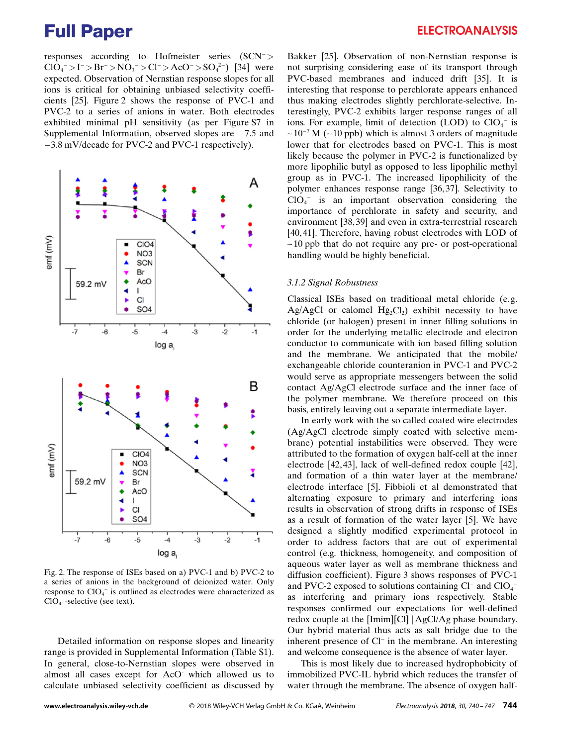responses according to Hofmeister series (SCN<sup>-</sup>>  $ClO_4^- > I^- > Br^- > NO_3^- > Cl^- > AcO^- > SO_4^{2-}$  [34] were expected. Observation of Nernstian response slopes for all ions is critical for obtaining unbiased selectivity coefficients [25]. Figure 2 shows the response of PVC-1 and PVC-2 to a series of anions in water. Both electrodes exhibited minimal pH sensitivity (as per Figure S7 in Supplemental Information, observed slopes are  $-7.5$  and -3.8 mV/decade for PVC-2 and PVC-1 respectively).



Fig. 2. The response of ISEs based on a) PVC-1 and b) PVC-2 to a series of anions in the background of deionized water. Only response to  $ClO<sub>4</sub>$  is outlined as electrodes were characterized as ClO<sub>4</sub><sup>-</sup>-selective (see text).

Detailed information on response slopes and linearity range is provided in Supplemental Information (Table S1). In general, close-to-Nernstian slopes were observed in almost all cases except for AcO- which allowed us to calculate unbiased selectivity coefficient as discussed by

### **ELECTROANALYSIS**

Bakker [25]. Observation of non-Nernstian response is not surprising considering ease of its transport through PVC-based membranes and induced drift [35]. It is interesting that response to perchlorate appears enhanced thus making electrodes slightly perchlorate-selective. Interestingly, PVC-2 exhibits larger response ranges of all ions. For example, limit of detection (LOD) to  $ClO<sub>4</sub><sup>-</sup>$  is  $\sim$  10<sup>-7</sup> M ( $\sim$  10 ppb) which is almost 3 orders of magnitude lower that for electrodes based on PVC-1. This is most likely because the polymer in PVC-2 is functionalized by more lipophilic butyl as opposed to less lipophilic methyl group as in PVC-1. The increased lipophilicity of the polymer enhances response range [36, 37]. Selectivity to  $ClO<sub>4</sub>$  is an important observation considering the importance of perchlorate in safety and security, and environment [38, 39] and even in extra-terrestrial research [40, 41]. Therefore, having robust electrodes with LOD of  $\sim$ 10 ppb that do not require any pre- or post-operational handling would be highly beneficial.

#### 3.1.2 Signal Robustness

Classical ISEs based on traditional metal chloride (e. g. Ag/AgCl or calomel  $Hg_2Cl_2$ ) exhibit necessity to have chloride (or halogen) present in inner filling solutions in order for the underlying metallic electrode and electron conductor to communicate with ion based filling solution and the membrane. We anticipated that the mobile/ exchangeable chloride counteranion in PVC-1 and PVC-2 would serve as appropriate messengers between the solid contact Ag/AgCl electrode surface and the inner face of the polymer membrane. We therefore proceed on this basis, entirely leaving out a separate intermediate layer.

In early work with the so called coated wire electrodes (Ag/AgCl electrode simply coated with selective membrane) potential instabilities were observed. They were attributed to the formation of oxygen half-cell at the inner electrode [42, 43], lack of well-defined redox couple [42], and formation of a thin water layer at the membrane/ electrode interface [5]. Fibbioli et al demonstrated that alternating exposure to primary and interfering ions results in observation of strong drifts in response of ISEs as a result of formation of the water layer [5]. We have designed a slightly modified experimental protocol in order to address factors that are out of experimental control (e.g. thickness, homogeneity, and composition of aqueous water layer as well as membrane thickness and diffusion coefficient). Figure 3 shows responses of PVC-1 and PVC-2 exposed to solutions containing Cl<sup>-</sup> and ClO<sub>4</sub><sup>-</sup> as interfering and primary ions respectively. Stable responses confirmed our expectations for well-defined redox couple at the [Imim][Cl] | AgCl/Ag phase boundary. Our hybrid material thus acts as salt bridge due to the inherent presence of Cl<sup>-</sup> in the membrane. An interesting and welcome consequence is the absence of water layer.

This is most likely due to increased hydrophobicity of immobilized PVC-IL hybrid which reduces the transfer of water through the membrane. The absence of oxygen half-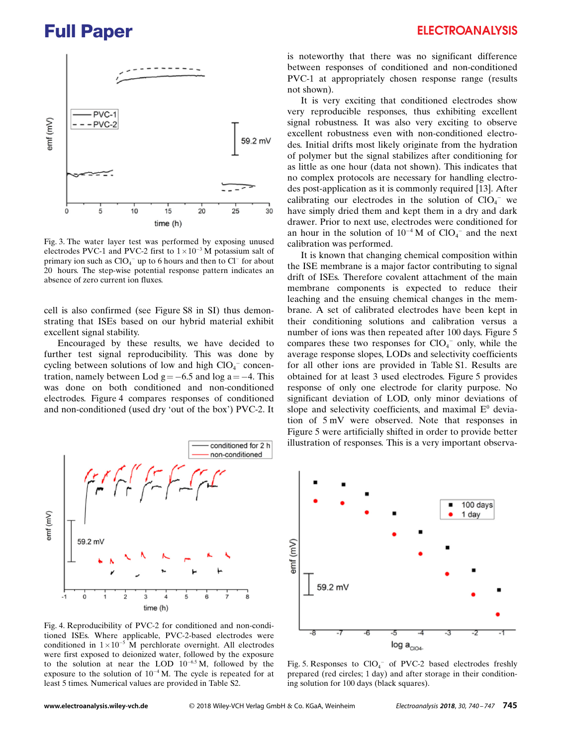

Fig. 3. The water layer test was performed by exposing unused electrodes PVC-1 and PVC-2 first to  $1 \times 10^{-3}$  M potassium salt of primary ion such as  $ClO_4^-$  up to 6 hours and then to  $Cl^-$  for about 20 hours. The step-wise potential response pattern indicates an absence of zero current ion fluxes.

cell is also confirmed (see Figure S8 in SI) thus demonstrating that ISEs based on our hybrid material exhibit excellent signal stability.

Encouraged by these results, we have decided to further test signal reproducibility. This was done by cycling between solutions of low and high  $ClO<sub>4</sub>$ <sup>-</sup> concentration, namely between Lod  $g = -6.5$  and log a  $=-4$ . This was done on both conditioned and non-conditioned electrodes. Figure 4 compares responses of conditioned and non-conditioned (used dry 'out of the box') PVC-2. It



Fig. 4. Reproducibility of PVC-2 for conditioned and non-conditioned ISEs. Where applicable, PVC-2-based electrodes were conditioned in  $1 \times 10^{-5}$  M perchlorate overnight. All electrodes were first exposed to deionized water, followed by the exposure to the solution at near the LOD  $10^{-6.5}$  M, followed by the exposure to the solution of  $10^{-4}$  M. The cycle is repeated for at least 5 times. Numerical values are provided in Table S2.

is noteworthy that there was no significant difference between responses of conditioned and non-conditioned PVC-1 at appropriately chosen response range (results not shown).

It is very exciting that conditioned electrodes show very reproducible responses, thus exhibiting excellent signal robustness. It was also very exciting to observe excellent robustness even with non-conditioned electrodes. Initial drifts most likely originate from the hydration of polymer but the signal stabilizes after conditioning for as little as one hour (data not shown). This indicates that no complex protocols are necessary for handling electrodes post-application as it is commonly required [13]. After calibrating our electrodes in the solution of  $ClO<sub>4</sub>$ <sup>-</sup> we have simply dried them and kept them in a dry and dark drawer. Prior to next use, electrodes were conditioned for an hour in the solution of  $10^{-4}$  M of ClO<sub>4</sub><sup>-</sup> and the next calibration was performed.

It is known that changing chemical composition within the ISE membrane is a major factor contributing to signal drift of ISEs. Therefore covalent attachment of the main membrane components is expected to reduce their leaching and the ensuing chemical changes in the membrane. A set of calibrated electrodes have been kept in their conditioning solutions and calibration versus a number of ions was then repeated after 100 days. Figure 5 compares these two responses for  $ClO<sub>4</sub><sup>-</sup>$  only, while the average response slopes, LODs and selectivity coefficients for all other ions are provided in Table S1. Results are obtained for at least 3 used electrodes. Figure 5 provides response of only one electrode for clarity purpose. No significant deviation of LOD, only minor deviations of slope and selectivity coefficients, and maximal  $E^0$  deviation of 5 mV were observed. Note that responses in Figure 5 were artificially shifted in order to provide better illustration of responses. This is a very important observa-



Fig. 5. Responses to  $ClO<sub>4</sub>$  of PVC-2 based electrodes freshly prepared (red circles; 1 day) and after storage in their conditioning solution for 100 days (black squares).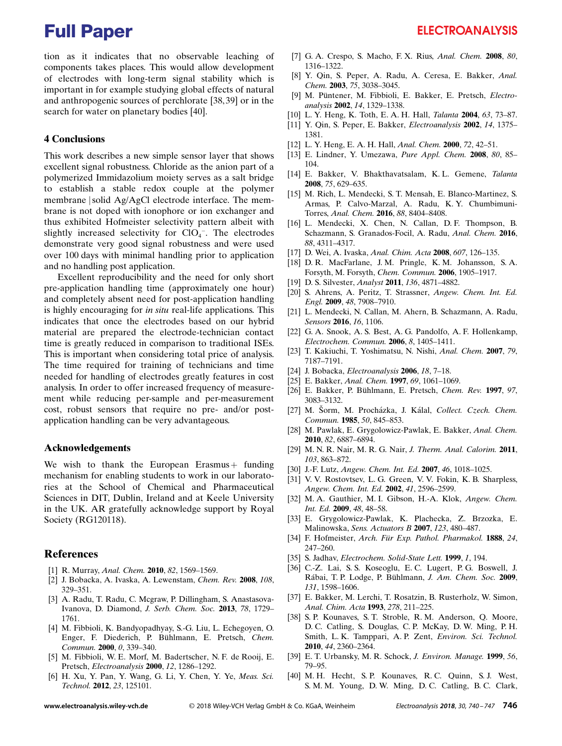tion as it indicates that no observable leaching of components takes places. This would allow development of electrodes with long-term signal stability which is important in for example studying global effects of natural and anthropogenic sources of perchlorate [38, 39] or in the search for water on planetary bodies [40].

#### 4 Conclusions

This work describes a new simple sensor layer that shows excellent signal robustness. Chloride as the anion part of a polymerized Immidazolium moiety serves as a salt bridge to establish a stable redox couple at the polymer membrane jsolid Ag/AgCl electrode interface. The membrane is not doped with ionophore or ion exchanger and thus exhibited Hofmeister selectivity pattern albeit with slightly increased selectivity for  $ClO<sub>4</sub>$ . The electrodes demonstrate very good signal robustness and were used over 100 days with minimal handling prior to application and no handling post application.

Excellent reproducibility and the need for only short pre-application handling time (approximately one hour) and completely absent need for post-application handling is highly encouraging for *in situ* real-life applications. This indicates that once the electrodes based on our hybrid material are prepared the electrode-technician contact time is greatly reduced in comparison to traditional ISEs. This is important when considering total price of analysis. The time required for training of technicians and time needed for handling of electrodes greatly features in cost analysis. In order to offer increased frequency of measurement while reducing per-sample and per-measurement cost, robust sensors that require no pre- and/or postapplication handling can be very advantageous.

#### Acknowledgements

We wish to thank the European Erasmus + funding mechanism for enabling students to work in our laboratories at the School of Chemical and Pharmaceutical Sciences in DIT, Dublin, Ireland and at Keele University in the UK. AR gratefully acknowledge support by Royal Society (RG120118).

#### References

- [1] R. Murray, Anal. Chem. 2010, 82, 1569-1569.
- [2] J. Bobacka, A. Ivaska, A. Lewenstam, Chem. Rev. 2008, 108, 329–351.
- [3] A. Radu, T. Radu, C. Mcgraw, P. Dillingham, S. Anastasova-Ivanova, D. Diamond, J. Serb. Chem. Soc. 2013, 78, 1729– 1761.
- [4] M. Fibbioli, K. Bandyopadhyay, S.-G. Liu, L. Echegoyen, O. Enger, F. Diederich, P. Bühlmann, E. Pretsch, Chem. Commun. 2000, 0, 339–340.
- [5] M. Fibbioli, W. E. Morf, M. Badertscher, N. F. de Rooij, E. Pretsch, Electroanalysis 2000, 12, 1286–1292.
- [6] H. Xu, Y. Pan, Y. Wang, G. Li, Y. Chen, Y. Ye, Meas. Sci. Technol. 2012, 23, 125101.
- [7] G. A. Crespo, S. Macho, F. X. Rius, Anal. Chem. 2008, 80, 1316–1322.
- [8] Y. Qin, S. Peper, A. Radu, A. Ceresa, E. Bakker, Anal. Chem. 2003, 75, 3038–3045.
- [9] M. Püntener, M. Fibbioli, E. Bakker, E. Pretsch, Electroanalysis 2002, 14, 1329–1338.
- [10] L. Y. Heng, K. Toth, E. A. H. Hall, *Talanta* 2004, 63, 73-87.
- [11] Y. Qin, S. Peper, E. Bakker, Electroanalysis 2002, 14, 1375– 1381.
- [12] L. Y. Heng, E. A. H. Hall, Anal. Chem. 2000, 72, 42-51.
- [13] E. Lindner, Y. Umezawa, Pure Appl. Chem. 2008, 80, 85– 104.
- [14] E. Bakker, V. Bhakthavatsalam, K. L. Gemene, Talanta 2008, 75, 629–635.
- [15] M. Rich, L. Mendecki, S. T. Mensah, E. Blanco-Martinez, S. Armas, P. Calvo-Marzal, A. Radu, K. Y. Chumbimuni-Torres, Anal. Chem. 2016, 88, 8404–8408.
- [16] L. Mendecki, X. Chen, N. Callan, D. F. Thompson, B. Schazmann, S. Granados-Focil, A. Radu, Anal. Chem. 2016, 88, 4311–4317.
- [17] D. Wei, A. Ivaska, Anal. Chim. Acta 2008, 607, 126–135.
- [18] D. R. MacFarlane, J. M. Pringle, K. M. Johansson, S. A. Forsyth, M. Forsyth, Chem. Commun. 2006, 1905–1917.
- [19] D. S. Silvester, Analyst 2011, 136, 4871–4882.
- [20] S. Ahrens, A. Peritz, T. Strassner, Angew. Chem. Int. Ed. Engl. 2009, 48, 7908–7910.
- [21] L. Mendecki, N. Callan, M. Ahern, B. Schazmann, A. Radu, Sensors **2016**, 16, 1106.
- [22] G. A. Snook, A. S. Best, A. G. Pandolfo, A. F. Hollenkamp, Electrochem. Commun. 2006, 8, 1405–1411.
- [23] T. Kakiuchi, T. Yoshimatsu, N. Nishi, Anal. Chem. 2007, 79, 7187–7191.
- [24] J. Bobacka, Electroanalysis 2006, 18, 7–18.
- [25] E. Bakker, Anal. Chem. 1997, 69, 1061-1069.
- [26] E. Bakker, P. Bühlmann, E. Pretsch, Chem. Rev. 1997, 97, 3083–3132.
- [27] M. Šorm, M. Procházka, J. Kálal, Collect. Czech. Chem. Commun. 1985, 50, 845–853.
- [28] M. Pawlak, E. Grygolowicz-Pawlak, E. Bakker, Anal. Chem. 2010, 82, 6887–6894.
- [29] M. N. R. Nair, M. R. G. Nair, J. Therm. Anal. Calorim. 2011, 103, 863–872.
- [30] J.-F. Lutz, Angew. Chem. Int. Ed. 2007, 46, 1018–1025.
- [31] V. V. Rostovtsev, L. G. Green, V. V. Fokin, K. B. Sharpless, Angew. Chem. Int. Ed. 2002, 41, 2596–2599.
- [32] M. A. Gauthier, M. I. Gibson, H.-A. Klok, Angew. Chem. Int. Ed. 2009, 48, 48–58.
- [33] E. Grygolowicz-Pawlak, K. Plachecka, Z. Brzozka, E. Malinowska, Sens. Actuators B 2007, 123, 480–487.
- [34] F. Hofmeister, Arch. Für Exp. Pathol. Pharmakol. 1888, 24, 247–260.
- [35] S. Jadhav, Electrochem. Solid-State Lett. 1999, 1, 194.
- [36] C.-Z. Lai, S. S. Koseoglu, E. C. Lugert, P. G. Boswell, J. Rábai, T. P. Lodge, P. Bühlmann, J. Am. Chem. Soc. 2009, 131, 1598–1606.
- [37] E. Bakker, M. Lerchi, T. Rosatzin, B. Rusterholz, W. Simon, Anal. Chim. Acta 1993, 278, 211–225.
- [38] S. P. Kounaves, S. T. Stroble, R. M. Anderson, Q. Moore, D. C. Catling, S. Douglas, C. P. McKay, D. W. Ming, P. H. Smith, L. K. Tamppari, A. P. Zent, Environ. Sci. Technol. 2010, 44, 2360–2364.
- [39] E. T. Urbansky, M. R. Schock, *J. Environ. Manage.* **1999**, 56, 79–95.
- [40] M. H. Hecht, S. P. Kounaves, R. C. Quinn, S. J. West, S. M. M. Young, D. W. Ming, D. C. Catling, B. C. Clark,